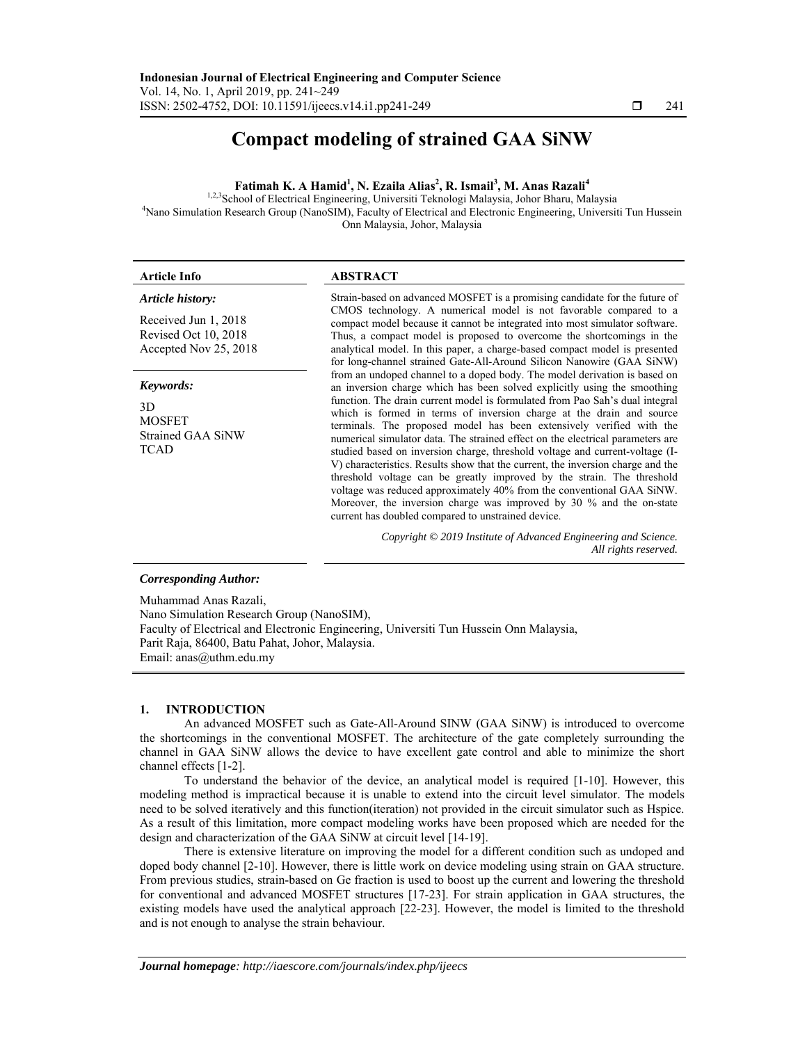# **Compact modeling of strained GAA SiNW**

# Fatimah K. A Hamid<sup>1</sup>, N. Ezaila Alias<sup>2</sup>, R. Ismail<sup>3</sup>, M. Anas Razali<sup>4</sup>

<sup>1,2,3</sup>School of Electrical Engineering, Universiti Teknologi Malaysia, Johor Bharu, Malaysia <sup>4</sup>Nano Simulation Research Group (NanoSIM), Faculty of Electrical and Electronic Engineering, Universiti Tun Hussein Onn Malaysia, Johor, Malaysia

# **Article Info ABSTRACT**

## *Article history:*

Received Jun 1, 2018 Revised Oct 10, 2018 Accepted Nov 25, 2018

*Keywords:* 

3D MOSFET Strained GAA SiNW TCAD

Strain-based on advanced MOSFET is a promising candidate for the future of CMOS technology. A numerical model is not favorable compared to a compact model because it cannot be integrated into most simulator software. Thus, a compact model is proposed to overcome the shortcomings in the analytical model. In this paper, a charge-based compact model is presented for long-channel strained Gate-All-Around Silicon Nanowire (GAA SiNW) from an undoped channel to a doped body. The model derivation is based on an inversion charge which has been solved explicitly using the smoothing function. The drain current model is formulated from Pao Sah's dual integral which is formed in terms of inversion charge at the drain and source terminals. The proposed model has been extensively verified with the numerical simulator data. The strained effect on the electrical parameters are studied based on inversion charge, threshold voltage and current-voltage (I-V) characteristics. Results show that the current, the inversion charge and the threshold voltage can be greatly improved by the strain. The threshold voltage was reduced approximately 40% from the conventional GAA SiNW. Moreover, the inversion charge was improved by 30 % and the on-state current has doubled compared to unstrained device.

> *Copyright © 2019 Institute of Advanced Engineering and Science. All rights reserved.*

# *Corresponding Author:*

Muhammad Anas Razali, Nano Simulation Research Group (NanoSIM), Faculty of Electrical and Electronic Engineering, Universiti Tun Hussein Onn Malaysia, Parit Raja, 86400, Batu Pahat, Johor, Malaysia. Email: anas@uthm.edu.my

# **1. INTRODUCTION**

An advanced MOSFET such as Gate-All-Around SINW (GAA SiNW) is introduced to overcome the shortcomings in the conventional MOSFET. The architecture of the gate completely surrounding the channel in GAA SiNW allows the device to have excellent gate control and able to minimize the short channel effects [1-2].

To understand the behavior of the device, an analytical model is required [1-10]. However, this modeling method is impractical because it is unable to extend into the circuit level simulator. The models need to be solved iteratively and this function(iteration) not provided in the circuit simulator such as Hspice. As a result of this limitation, more compact modeling works have been proposed which are needed for the design and characterization of the GAA SiNW at circuit level [14-19].

There is extensive literature on improving the model for a different condition such as undoped and doped body channel [2-10]. However, there is little work on device modeling using strain on GAA structure. From previous studies, strain-based on Ge fraction is used to boost up the current and lowering the threshold for conventional and advanced MOSFET structures [17-23]. For strain application in GAA structures, the existing models have used the analytical approach [22-23]. However, the model is limited to the threshold and is not enough to analyse the strain behaviour.

֖֚֚֚֬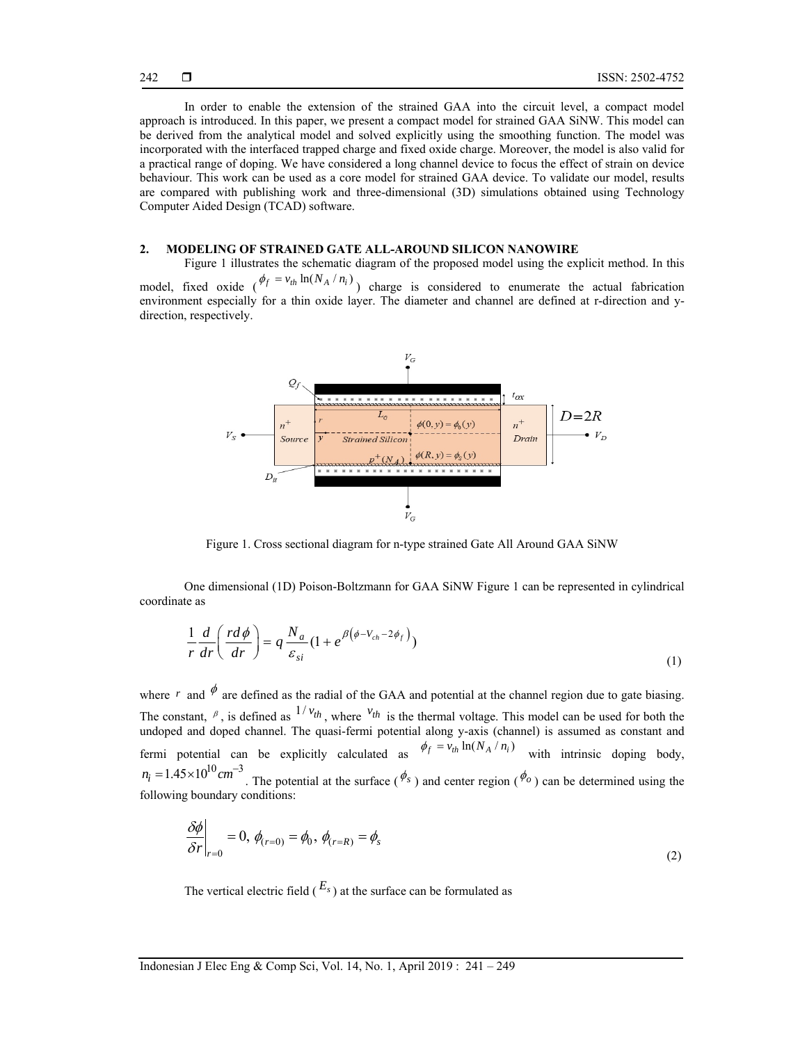In order to enable the extension of the strained GAA into the circuit level, a compact model approach is introduced. In this paper, we present a compact model for strained GAA SiNW. This model can be derived from the analytical model and solved explicitly using the smoothing function. The model was incorporated with the interfaced trapped charge and fixed oxide charge. Moreover, the model is also valid for a practical range of doping. We have considered a long channel device to focus the effect of strain on device behaviour. This work can be used as a core model for strained GAA device. To validate our model, results are compared with publishing work and three-dimensional (3D) simulations obtained using Technology Computer Aided Design (TCAD) software.

# **2. MODELING OF STRAINED GATE ALL-AROUND SILICON NANOWIRE**

Figure 1 illustrates the schematic diagram of the proposed model using the explicit method. In this model, fixed oxide  $\left( \frac{\phi_f}{\phi_f} - v_{th} \ln(N_A / n_i) \right)$  charge is considered to enumerate the actual fabrication environment especially for a thin oxide layer. The diameter and channel are defined at r-direction and ydirection, respectively.



Figure 1. Cross sectional diagram for n-type strained Gate All Around GAA SiNW

One dimensional (1D) Poison-Boltzmann for GAA SiNW Figure 1 can be represented in cylindrical coordinate as

$$
\frac{1}{r}\frac{d}{dr}\left(\frac{rd\phi}{dr}\right) = q\frac{N_a}{\varepsilon_{si}}\left(1 + e^{\beta\left(\phi - V_{ch} - 2\phi_f\right)}\right)
$$
\n(1)

where  $r$  and  $\phi$  are defined as the radial of the GAA and potential at the channel region due to gate biasing. The constant,  $\beta$ , is defined as  $1/v_{th}$ , where  $v_{th}$  is the thermal voltage. This model can be used for both the undoped and doped channel. The quasi-fermi potential along y-axis (channel) is assumed as constant and fermi potential can be explicitly calculated as  $\phi_f = v_h \ln(N_A/n_i)$  with intrinsic doping body,  $n_i = 1.45 \times 10^{10}$  cm<sup>-3</sup>. The potential at the surface ( $\phi_s$ ) and center region ( $\phi_o$ ) can be determined using the following boundary conditions:

$$
\left. \frac{\partial \phi}{\partial r} \right|_{r=0} = 0, \, \phi_{(r=0)} = \phi_0, \, \phi_{(r=R)} = \phi_s \tag{2}
$$

The vertical electric field  $(E_s)$  at the surface can be formulated as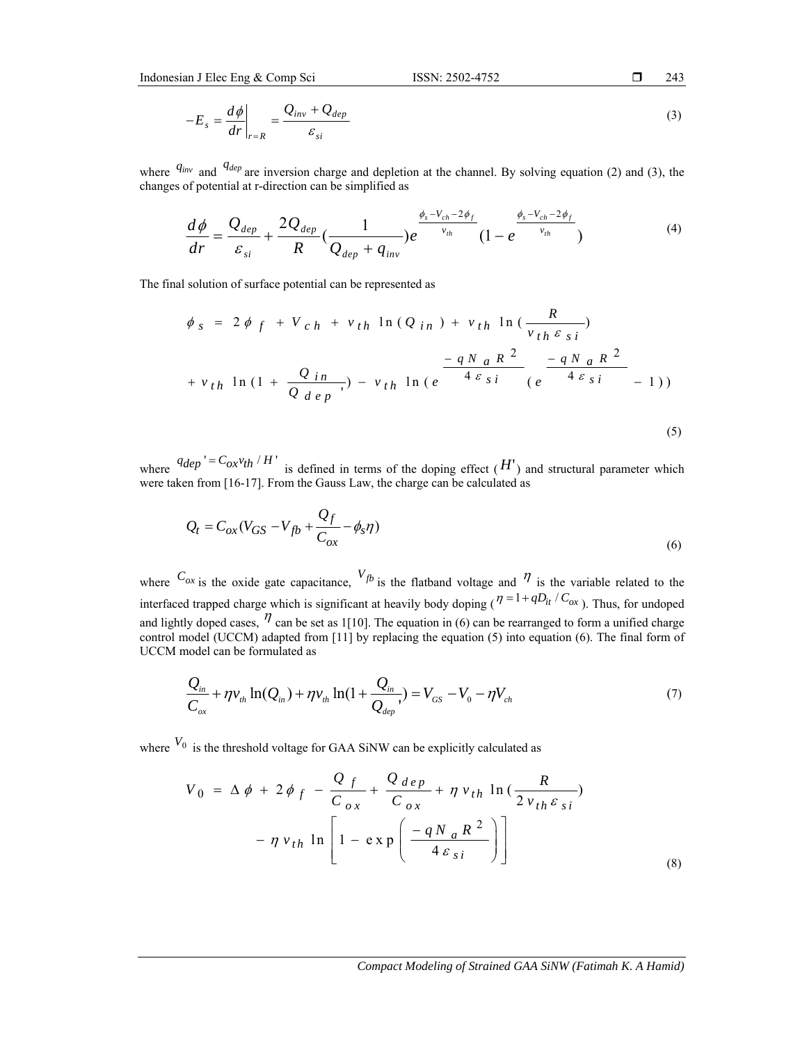Indonesian J Elec Eng & Comp Sci ISSN: 2502-4752 □

$$
\mathcal{L}^{\mathcal{L}}(\mathcal{L}^{\mathcal{L}}(\mathcal{L}^{\mathcal{L}}(\mathcal{L}^{\mathcal{L}}(\mathcal{L}^{\mathcal{L}}(\mathcal{L}^{\mathcal{L}}(\mathcal{L}^{\mathcal{L}}(\mathcal{L}^{\mathcal{L}}(\mathcal{L}^{\mathcal{L}}(\mathcal{L}^{\mathcal{L}}(\mathcal{L}^{\mathcal{L}}(\mathcal{L}^{\mathcal{L}}(\mathcal{L}^{\mathcal{L}}(\mathcal{L}^{\mathcal{L}}(\mathcal{L}^{\mathcal{L}}(\mathcal{L}^{\mathcal{L}}(\mathcal{L}^{\mathcal{L}}(\mathcal{L}^{\mathcal{L}}(\mathcal{L}^{\mathcal{L}}(\mathcal{L}^{\mathcal{L}}(\mathcal{L}^{\mathcal{L}}(\mathcal{L}^{\mathcal{L}}(\mathcal{L}^{\mathcal{L}}(\mathcal{L}^{\mathcal{L}}(\mathcal{L}^{\mathcal{L}}(\mathcal{L}^{\mathcal{L}}(\mathcal{L}^{\mathcal{L}}(\mathcal{L}^{\mathcal{L}}(\mathcal{L}^{\mathcal{L}}(\mathcal{L}^{\mathcal{L}}(\mathcal{L}^{\mathcal{L}}(\mathcal{L}^{\mathcal{L}}(\mathcal{L}^{\mathcal{L}}(\mathcal{L}^{\mathcal{L}}(\mathcal{L}^{\mathcal{L}}(\mathcal{L}^{\mathcal{L}}(\mathcal{L}^{\mathcal{L}}(\mathcal{L}^{\mathcal{L}}(\mathcal{L}^{\mathcal{L}}(\mathcal{L}^{\mathcal{L}}(\mathcal{L}^{\mathcal{L}}(\mathcal{L}^{\mathcal{L}}(\mathcal{L}^{\mathcal{L}}(\mathcal{L}^{\mathcal{L}}(\mathcal{L}^{\mathcal{L}}(\mathcal{L}^{\mathcal{L}}(\mathcal{L}^{\mathcal{L}}(\mathcal{L}^{\mathcal{L}}(\mathcal{L}^{\mathcal{L}}(\mathcal{L}^{\mathcal{L}}(\mathcal{L}^{\mathcal{L}}(\mathcal{L}^{\mathcal{L}}(\mathcal{L}^{\mathcal{L}}(\mathcal{L}^{\mathcal{L}}(\mathcal{L}^{\mathcal{L}}(\mathcal{L}^{\mathcal{L}}(\mathcal{L}^{\mathcal{L}}(\mathcal{L}^{\mathcal{L}}(\mathcal{L}
$$

$$
-E_s = \frac{d\phi}{dr}\bigg|_{r=R} = \frac{Q_{inv} + Q_{dep}}{\varepsilon_{si}}
$$
\n(3)

where  $q_{inv}$  and  $q_{dep}$  are inversion charge and depletion at the channel. By solving equation (2) and (3), the changes of potential at r-direction can be simplified as

$$
\frac{d\phi}{dr} = \frac{Q_{dep}}{\varepsilon_{si}} + \frac{2Q_{dep}}{R} \left(\frac{1}{Q_{dep} + q_{inv}}\right) e^{\frac{\phi_{s} - V_{ch} - 2\phi_{f}}{V_{th}}} \left(1 - e^{\frac{\phi_{s} - V_{ch} - 2\phi_{f}}{V_{th}}} \right)
$$
(4)

The final solution of surface potential can be represented as

$$
\phi_{s} = 2 \phi_{f} + V_{ch} + v_{th} \ln (Q_{in}) + v_{th} \ln (\frac{R}{v_{th} \varepsilon_{si}})
$$
  
+  $v_{th} \ln (1 + \frac{Q_{in}}{Q_{dep}}) - v_{th} \ln (e^{-\frac{Q_{f}}{4 \varepsilon_{si}} \left( e^{-\frac{Q_{f}}{4 \varepsilon_{si}} - \frac{Q_{f}}{4 \varepsilon_{si}} - 1 \right)})$  (5)

where  $q_{dep} = C_{ox} v_{th} / H'$  is defined in terms of the doping effect  $(H')$  and structural parameter which were taken from [16-17]. From the Gauss Law, the charge can be calculated as

$$
Q_t = C_{ox} (V_{GS} - V_{fb} + \frac{Q_f}{C_{ox}} - \phi_s \eta)
$$
\n
$$
(6)
$$

where  $C_{ox}$  is the oxide gate capacitance,  $V_{fb}$  is the flatband voltage and  $\eta$  is the variable related to the interfaced trapped charge which is significant at heavily body doping ( $\eta = 1 + qD_{it} / C_{ox}$ ). Thus, for undoped and lightly doped cases,  $\eta$  can be set as 1[10]. The equation in (6) can be rearranged to form a unified charge control model (UCCM) adapted from [11] by replacing the equation (5) into equation (6). The final form of UCCM model can be formulated as

$$
\frac{Q_{in}}{C_{ox}} + \eta v_{th} \ln(Q_{in}) + \eta v_{th} \ln(1 + \frac{Q_{in}}{Q_{dep}}) = V_{GS} - V_0 - \eta V_{ch}
$$
\n(7)

where  $V_0$  is the threshold voltage for GAA SiNW can be explicitly calculated as

$$
V_0 = \Delta \phi + 2\phi_f - \frac{Q_f}{C_{ox}} + \frac{Q_{dep}}{C_{ox}} + \eta v_{th} \ln(\frac{R}{2v_{th}\varepsilon_{si}})
$$

$$
- \eta v_{th} \ln\left[1 - \exp\left(\frac{-qN_aR^2}{4\varepsilon_{si}}\right)\right]
$$
(8)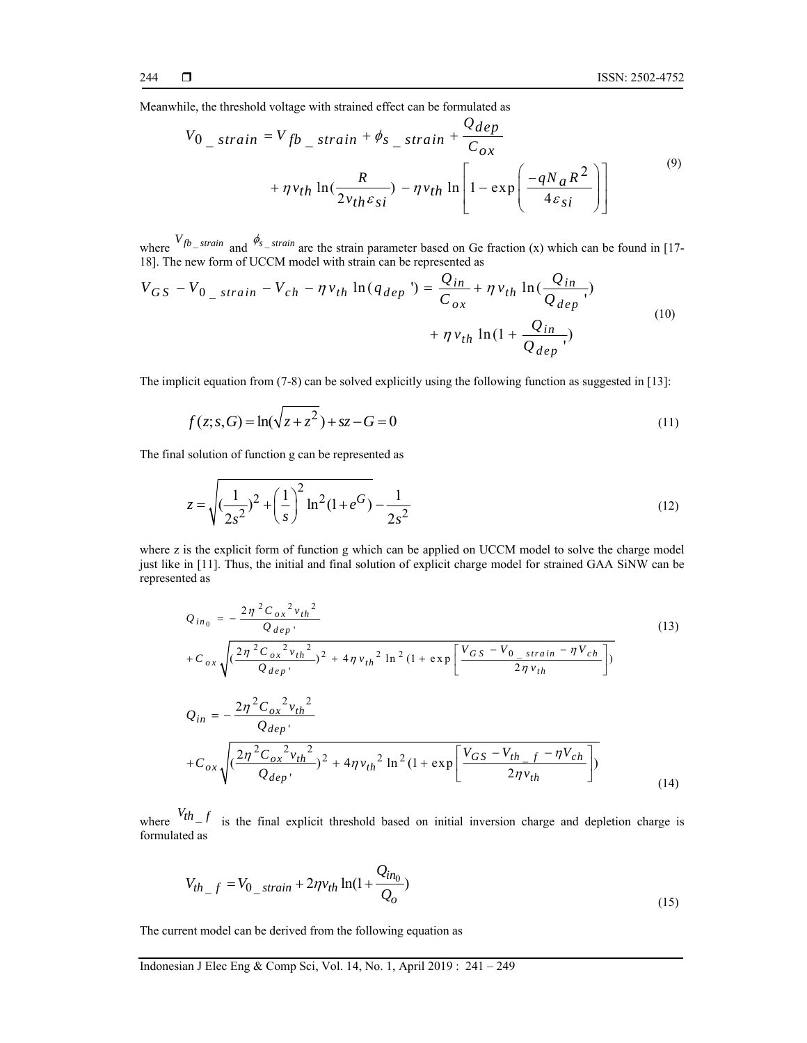Meanwhile, the threshold voltage with strained effect can be formulated as

$$
V_0 \quad \text{strain} = V_{fb} \quad \text{strain} + \phi_{s} \quad \text{strain} + \frac{Q_{dep}}{C_{ox}} + \eta v_{th} \ln\left(\frac{R}{2v_{th}\varepsilon_{si}}\right) - \eta v_{th} \ln\left[1 - \exp\left(\frac{-qN_aR^2}{4\varepsilon_{si}}\right)\right]
$$
\n<sup>(9)</sup>

where  $V_{fb\_strain}$  and  $\phi_{s\_strain}$  are the strain parameter based on Ge fraction (x) which can be found in [17-18]. The new form of UCCM model with strain can be represented as

$$
V_{GS} - V_{0} \tstrut_{strain} - V_{ch} - \eta v_{th} \ln(q_{dep}) = \frac{Q_{in}}{C_{ox}} + \eta v_{th} \ln(\frac{Q_{in}}{Q_{dep}}) + \eta v_{th} \ln(1 + \frac{Q_{in}}{Q_{dep}})
$$
\n
$$
(10)
$$

The implicit equation from (7-8) can be solved explicitly using the following function as suggested in [13]:

$$
f(z; s, G) = \ln(\sqrt{z + z^2}) + sz - G = 0
$$
\n(11)

The final solution of function g can be represented as

$$
z = \sqrt{\left(\frac{1}{2s^2}\right)^2 + \left(\frac{1}{s}\right)^2 \ln^2(1 + e^G)} - \frac{1}{2s^2}
$$
 (12)

where z is the explicit form of function g which can be applied on UCCM model to solve the charge model just like in [11]. Thus, the initial and final solution of explicit charge model for strained GAA SiNW can be represented as

$$
Q_{in_0} = -\frac{2\eta^2 C_{ox}^2 v_{th}^2}{Q_{dep}},
$$
\n
$$
+C_{ox} \sqrt{\left(\frac{2\eta^2 C_{ox}^2 v_{th}^2}{Q_{dep}}\right)^2 + 4\eta v_{th}^2 \ln^2 \left(1 + \exp\left[\frac{V_{GS} - V_{0_{strain}} - \eta V_{ch}}{2\eta v_{th}}\right]\right)}
$$
\n
$$
Q_{in} = -\frac{2\eta^2 C_{ox}^2 v_{th}^2}{Q_{dep}},
$$
\n
$$
+C_{ox} \sqrt{\left(\frac{2\eta^2 C_{ox}^2 v_{th}^2}{Q_{dep}}, \frac{2}{\eta v_{th}^2}\right)^2 + 4\eta v_{th}^2 \ln^2 \left(1 + \exp\left[\frac{V_{GS} - V_{th_{strif}} - \eta V_{ch}}{2\eta v_{th}}\right]\right)}
$$
\n
$$
(14)
$$

where  $V_{th}$  *i* is the final explicit threshold based on initial inversion charge and depletion charge is formulated as

$$
V_{th\_f} = V_{0\_strain} + 2\eta v_{th} \ln(1 + \frac{Q_{in_0}}{Q_o})
$$
\n(15)

The current model can be derived from the following equation as

Indonesian J Elec Eng & Comp Sci, Vol. 14, No. 1, April 2019 : 241 – 249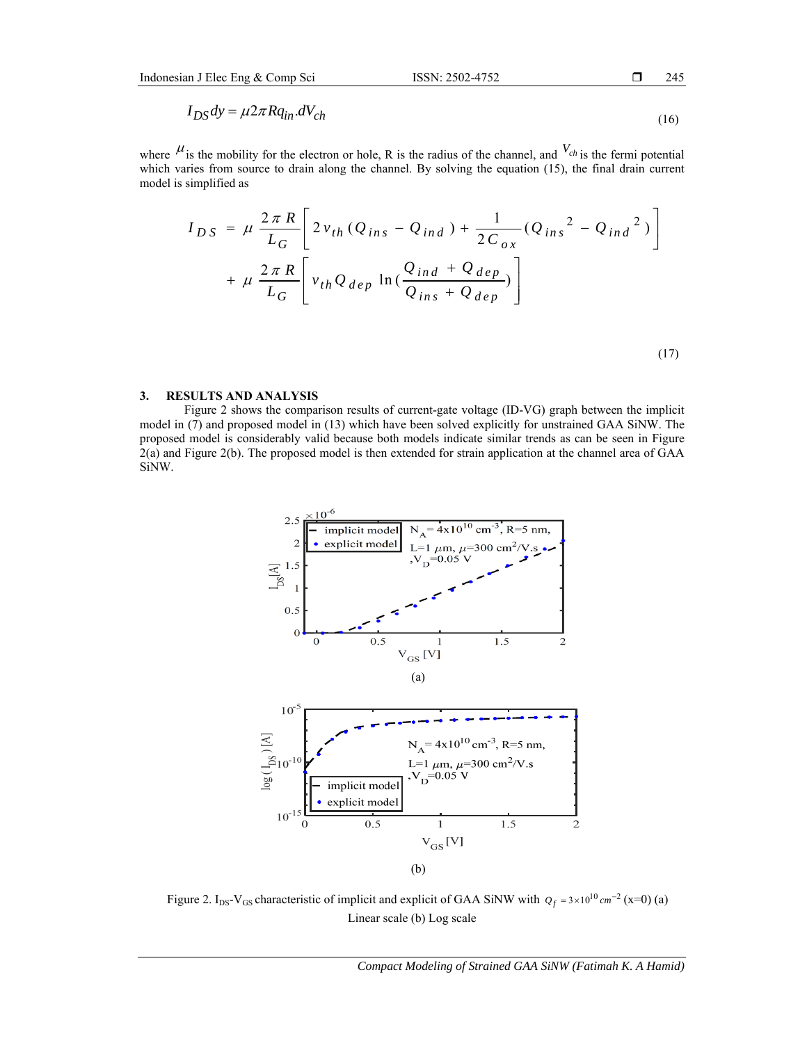$$
I_{DS}dy = \mu 2\pi R q_{in}.dV_{ch}
$$
\n<sup>(16)</sup>

where  $\mu$  is the mobility for the electron or hole, R is the radius of the channel, and  $V_{ch}$  is the fermi potential which varies from source to drain along the channel. By solving the equation (15), the final drain current model is simplified as

$$
I_{DS} = \mu \frac{2 \pi R}{L_G} \left[ 2 v_{th} (Q_{ins} - Q_{ind}) + \frac{1}{2 C_{ox}} (Q_{ins}^2 - Q_{ind}^2) \right] + \mu \frac{2 \pi R}{L_G} \left[ v_{th} Q_{dep} \ln(\frac{Q_{ind} + Q_{dep}}{Q_{ins} + Q_{dep}}) \right]
$$

(17)

# **3. RESULTS AND ANALYSIS**

Figure 2 shows the comparison results of current-gate voltage (ID-VG) graph between the implicit model in (7) and proposed model in (13) which have been solved explicitly for unstrained GAA SiNW. The proposed model is considerably valid because both models indicate similar trends as can be seen in Figure 2(a) and Figure 2(b). The proposed model is then extended for strain application at the channel area of GAA SiNW.



Figure 2. I<sub>DS</sub>-V<sub>GS</sub> characteristic of implicit and explicit of GAA SiNW with  $Q_f = 3 \times 10^{10}$  cm<sup>-2</sup> (x=0) (a) Linear scale (b) Log scale

*Compact Modeling of Strained GAA SiNW (Fatimah K. A Hamid)*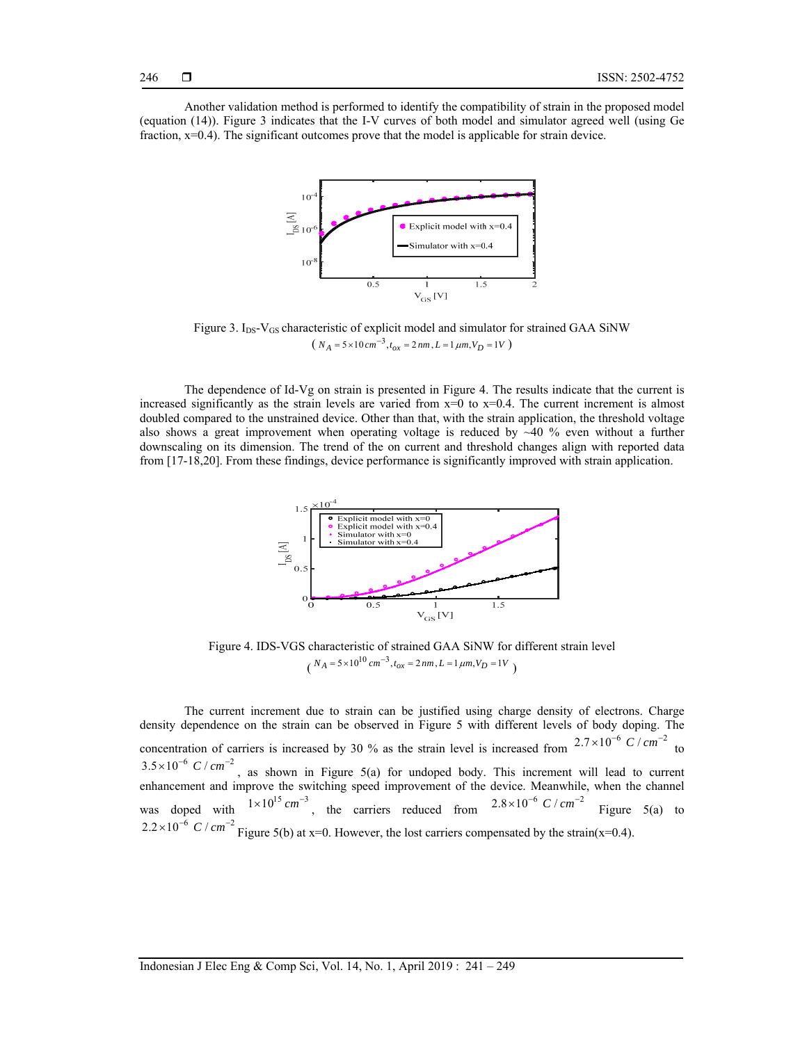Another validation method is performed to identify the compatibility of strain in the proposed model (equation (14)). Figure 3 indicates that the I-V curves of both model and simulator agreed well (using Ge fraction,  $x=0.4$ ). The significant outcomes prove that the model is applicable for strain device.



Figure 3. I<sub>DS</sub>-V<sub>GS</sub> characteristic of explicit model and simulator for strained GAA SiNW  $(N_A = 5 \times 10 cm^{-3}, t_{ox} = 2 nm, L = 1 \mu m, V_D = 1 V)$ 

The dependence of Id-Vg on strain is presented in Figure 4. The results indicate that the current is increased significantly as the strain levels are varied from  $x=0$  to  $x=0.4$ . The current increment is almost doubled compared to the unstrained device. Other than that, with the strain application, the threshold voltage also shows a great improvement when operating voltage is reduced by  $~40$  % even without a further downscaling on its dimension. The trend of the on current and threshold changes align with reported data from [17-18,20]. From these findings, device performance is significantly improved with strain application.



Figure 4. IDS-VGS characteristic of strained GAA SiNW for different strain level  $(N_A = 5 \times 10^{10} cm^{-3}, t_{ox} = 2 nm, L = 1 \mu m, V_D = 1 V)$ 

The current increment due to strain can be justified using charge density of electrons. Charge density dependence on the strain can be observed in Figure 5 with different levels of body doping. The concentration of carriers is increased by 30 % as the strain level is increased from  $2.7 \times 10^{-6} C/cm^{-2}$  to  $3.5 \times 10^{-6} C/cm^{-2}$ , as shown in Figure 5(a) for undoped body. This increment will lead to current  $3.5 \times 10^{-6} C/cm^{-2}$ , as shown in Figure 5(a) for undoped body. This increment will lead to current enhancement and improve the switching speed improvement of the device. Meanwhile, when the channel was doped with  $1 \times 10^{1$ was doped with  $1 \times 10^{-6}$  *cm* <sup>2</sup>, the carriers reduced from  $2.8 \times 10^{-6}$  *C/cm* <sup>2</sup> Figure 5(a) to  $2.2 \times 10^{-6}$  *C/cm*<sup>-2</sup> Figure 5(b) at x=0. However, the lost carriers compensated by the strain(x=0.4).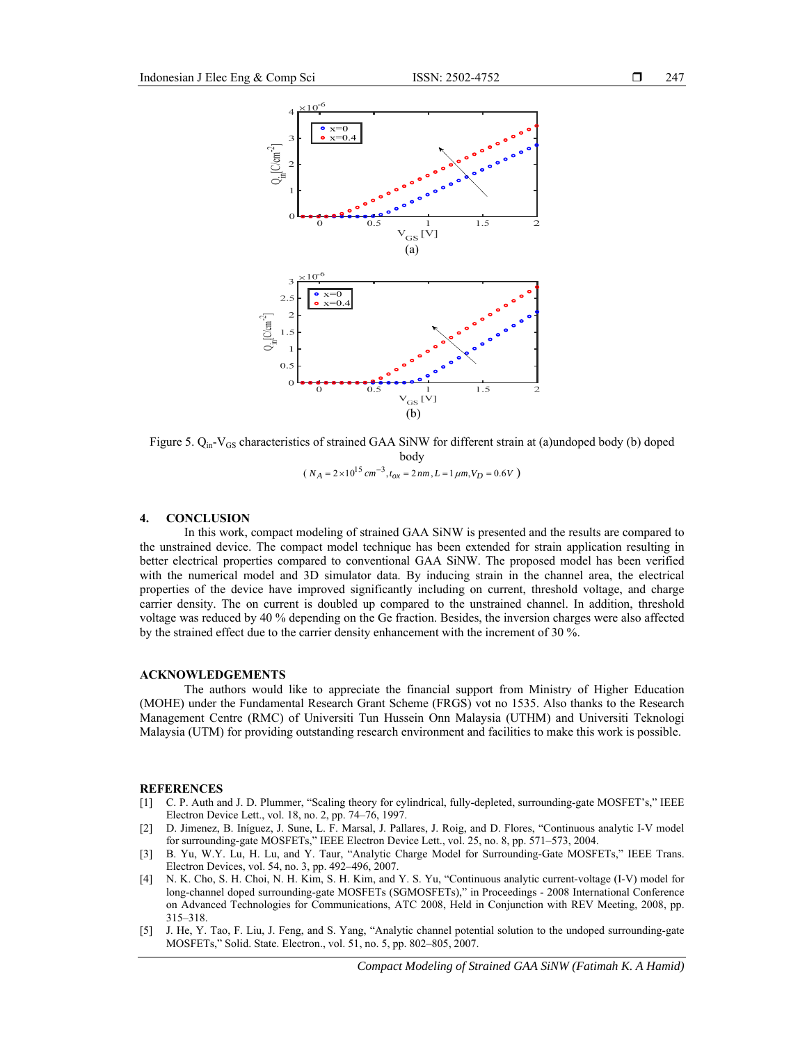

Figure 5.  $Q<sub>in</sub> - V<sub>GS</sub>$  characteristics of strained GAA SiNW for different strain at (a)undoped body (b) doped body  $(N_A = 2 \times 10^{15} \text{ cm}^{-3}, t_{ox} = 2 \text{ nm}, L = 1 \mu \text{m}, V_D = 0.6 V)$ 

#### **4. CONCLUSION**

In this work, compact modeling of strained GAA SiNW is presented and the results are compared to the unstrained device. The compact model technique has been extended for strain application resulting in better electrical properties compared to conventional GAA SiNW. The proposed model has been verified with the numerical model and 3D simulator data. By inducing strain in the channel area, the electrical properties of the device have improved significantly including on current, threshold voltage, and charge carrier density. The on current is doubled up compared to the unstrained channel. In addition, threshold voltage was reduced by 40 % depending on the Ge fraction. Besides, the inversion charges were also affected by the strained effect due to the carrier density enhancement with the increment of 30 %.

# **ACKNOWLEDGEMENTS**

The authors would like to appreciate the financial support from Ministry of Higher Education (MOHE) under the Fundamental Research Grant Scheme (FRGS) vot no 1535. Also thanks to the Research Management Centre (RMC) of Universiti Tun Hussein Onn Malaysia (UTHM) and Universiti Teknologi Malaysia (UTM) for providing outstanding research environment and facilities to make this work is possible.

## **REFERENCES**

- [1] C. P. Auth and J. D. Plummer, "Scaling theory for cylindrical, fully-depleted, surrounding-gate MOSFET's," IEEE Electron Device Lett., vol. 18, no. 2, pp. 74–76, 1997.
- [2] D. Jimenez, B. Iníguez, J. Sune, L. F. Marsal, J. Pallares, J. Roig, and D. Flores, "Continuous analytic I-V model for surrounding-gate MOSFETs," IEEE Electron Device Lett., vol. 25, no. 8, pp. 571–573, 2004.
- [3] B. Yu, W.Y. Lu, H. Lu, and Y. Taur, "Analytic Charge Model for Surrounding-Gate MOSFETs," IEEE Trans. Electron Devices, vol. 54, no. 3, pp. 492–496, 2007.
- [4] N. K. Cho, S. H. Choi, N. H. Kim, S. H. Kim, and Y. S. Yu, "Continuous analytic current-voltage (I-V) model for long-channel doped surrounding-gate MOSFETs (SGMOSFETs)," in Proceedings - 2008 International Conference on Advanced Technologies for Communications, ATC 2008, Held in Conjunction with REV Meeting, 2008, pp. 315–318.
- [5] J. He, Y. Tao, F. Liu, J. Feng, and S. Yang, "Analytic channel potential solution to the undoped surrounding-gate MOSFETs," Solid. State. Electron., vol. 51, no. 5, pp. 802–805, 2007.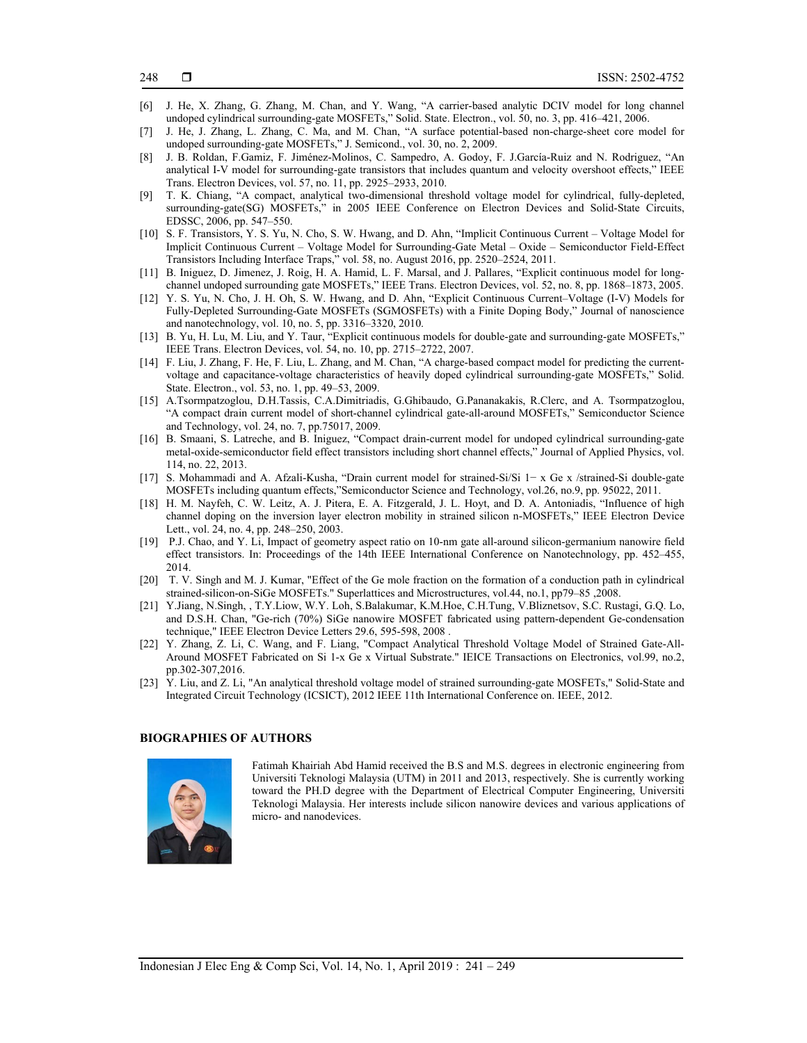- [6] J. He, X. Zhang, G. Zhang, M. Chan, and Y. Wang, "A carrier-based analytic DCIV model for long channel undoped cylindrical surrounding-gate MOSFETs," Solid. State. Electron., vol. 50, no. 3, pp. 416–421, 2006.
- [7] J. He, J. Zhang, L. Zhang, C. Ma, and M. Chan, "A surface potential-based non-charge-sheet core model for undoped surrounding-gate MOSFETs," J. Semicond., vol. 30, no. 2, 2009.
- [8] J. B. Roldan, F.Gamiz, F. Jiménez-Molinos, C. Sampedro, A. Godoy, F. J.García-Ruiz and N. Rodriguez, "An analytical I-V model for surrounding-gate transistors that includes quantum and velocity overshoot effects," IEEE Trans. Electron Devices, vol. 57, no. 11, pp. 2925–2933, 2010.
- [9] T. K. Chiang, "A compact, analytical two-dimensional threshold voltage model for cylindrical, fully-depleted, surrounding-gate(SG) MOSFETs," in 2005 IEEE Conference on Electron Devices and Solid-State Circuits, EDSSC, 2006, pp. 547–550.
- [10] S. F. Transistors, Y. S. Yu, N. Cho, S. W. Hwang, and D. Ahn, "Implicit Continuous Current Voltage Model for Implicit Continuous Current – Voltage Model for Surrounding-Gate Metal – Oxide – Semiconductor Field-Effect Transistors Including Interface Traps," vol. 58, no. August 2016, pp. 2520–2524, 2011.
- [11] B. Iniguez, D. Jimenez, J. Roig, H. A. Hamid, L. F. Marsal, and J. Pallares, "Explicit continuous model for longchannel undoped surrounding gate MOSFETs," IEEE Trans. Electron Devices, vol. 52, no. 8, pp. 1868–1873, 2005.
- [12] Y. S. Yu, N. Cho, J. H. Oh, S. W. Hwang, and D. Ahn, "Explicit Continuous Current–Voltage (I-V) Models for Fully-Depleted Surrounding-Gate MOSFETs (SGMOSFETs) with a Finite Doping Body," Journal of nanoscience and nanotechnology, vol. 10, no. 5, pp. 3316–3320, 2010.
- [13] B. Yu, H. Lu, M. Liu, and Y. Taur, "Explicit continuous models for double-gate and surrounding-gate MOSFETs," IEEE Trans. Electron Devices, vol. 54, no. 10, pp. 2715–2722, 2007.
- [14] F. Liu, J. Zhang, F. He, F. Liu, L. Zhang, and M. Chan, "A charge-based compact model for predicting the currentvoltage and capacitance-voltage characteristics of heavily doped cylindrical surrounding-gate MOSFETs," Solid. State. Electron., vol. 53, no. 1, pp. 49–53, 2009.
- [15] A.Tsormpatzoglou, D.H.Tassis, C.A.Dimitriadis, G.Ghibaudo, G.Pananakakis, R.Clerc, and A. Tsormpatzoglou, "A compact drain current model of short-channel cylindrical gate-all-around MOSFETs," Semiconductor Science and Technology, vol. 24, no. 7, pp.75017, 2009.
- [16] B. Smaani, S. Latreche, and B. Iniguez, "Compact drain-current model for undoped cylindrical surrounding-gate metal-oxide-semiconductor field effect transistors including short channel effects," Journal of Applied Physics, vol. 114, no. 22, 2013.
- [17] S. Mohammadi and A. Afzali-Kusha, "Drain current model for strained-Si/Si 1− x Ge x /strained-Si double-gate MOSFETs including quantum effects,"Semiconductor Science and Technology, vol.26, no.9, pp. 95022, 2011.
- [18] H. M. Nayfeh, C. W. Leitz, A. J. Pitera, E. A. Fitzgerald, J. L. Hoyt, and D. A. Antoniadis, "Influence of high channel doping on the inversion layer electron mobility in strained silicon n-MOSFETs," IEEE Electron Device Lett., vol. 24, no. 4, pp. 248–250, 2003.
- [19] P.J. Chao, and Y. Li, Impact of geometry aspect ratio on 10-nm gate all-around silicon-germanium nanowire field effect transistors. In: Proceedings of the 14th IEEE International Conference on Nanotechnology, pp. 452–455, 2014.
- [20] T. V. Singh and M. J. Kumar, "Effect of the Ge mole fraction on the formation of a conduction path in cylindrical strained-silicon-on-SiGe MOSFETs." Superlattices and Microstructures, vol.44, no.1, pp79–85 ,2008.
- [21] Y.Jiang, N.Singh, , T.Y.Liow, W.Y. Loh, S.Balakumar, K.M.Hoe, C.H.Tung, V.Bliznetsov, S.C. Rustagi, G.Q. Lo, and D.S.H. Chan, "Ge-rich (70%) SiGe nanowire MOSFET fabricated using pattern-dependent Ge-condensation technique," IEEE Electron Device Letters 29.6, 595-598, 2008 .
- [22] Y. Zhang, Z. Li, C. Wang, and F. Liang, "Compact Analytical Threshold Voltage Model of Strained Gate-All-Around MOSFET Fabricated on Si 1-x Ge x Virtual Substrate." IEICE Transactions on Electronics, vol.99, no.2, pp.302-307,2016.
- [23] Y. Liu, and Z. Li, "An analytical threshold voltage model of strained surrounding-gate MOSFETs," Solid-State and Integrated Circuit Technology (ICSICT), 2012 IEEE 11th International Conference on. IEEE, 2012.

# **BIOGRAPHIES OF AUTHORS**



Fatimah Khairiah Abd Hamid received the B.S and M.S. degrees in electronic engineering from Universiti Teknologi Malaysia (UTM) in 2011 and 2013, respectively. She is currently working toward the PH.D degree with the Department of Electrical Computer Engineering, Universiti Teknologi Malaysia. Her interests include silicon nanowire devices and various applications of micro- and nanodevices.